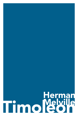# 1 Herman Timoleville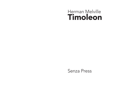# Herman Melville Timoleon

Senza Press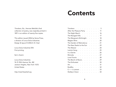# Contents

Timoleon, Etc., Herman Melville's final collection of poetry, was originally printed in 1891 in an edition of twenty-five copies.

This edition issued 2006 by Senza Press, a division of Locus Solus Industries. Design & layout © 2006 D. B. Visel

Locus Solus Industries 004. First printing.

Set in Avenir.

Locus Solus Industries. 76-15 35th Avenue, No. 4M Jackson Heights, New York 11372 United States

http://visel.freeshell.org

| Timoleon 5                                                                                    |  |  |  |  |  |  |
|-----------------------------------------------------------------------------------------------|--|--|--|--|--|--|
| After the Pleasure Party 11                                                                   |  |  |  |  |  |  |
| The Night March 16                                                                            |  |  |  |  |  |  |
| The Ravaged Villa 17                                                                          |  |  |  |  |  |  |
| The Margrave's Birthnight 18                                                                  |  |  |  |  |  |  |
| Magian Wine 20                                                                                |  |  |  |  |  |  |
| The Garden of Metrodorus 21                                                                   |  |  |  |  |  |  |
| The New Zealot to the Sun $\cdot \cdot \cdot \cdot$ . 22                                      |  |  |  |  |  |  |
| The Weaver $\ldots$ $\ldots$ $\ldots$ $\ldots$ 24                                             |  |  |  |  |  |  |
| Lamia's Song25                                                                                |  |  |  |  |  |  |
| In a Garret. $\therefore$ $\therefore$ $\therefore$ $\therefore$ $\therefore$ $\therefore$ 26 |  |  |  |  |  |  |
| Monody 27                                                                                     |  |  |  |  |  |  |
| Lone Founts $\ldots$ $\ldots$ $\ldots$ $\ldots$ 28                                            |  |  |  |  |  |  |
| The Bench of Boors 29                                                                         |  |  |  |  |  |  |
| The Enthusiast $\therefore$ $\therefore$ $\therefore$ $\therefore$ $\therefore$ 30            |  |  |  |  |  |  |
| Art. 31                                                                                       |  |  |  |  |  |  |
| Buddha. 32                                                                                    |  |  |  |  |  |  |
| $C$ ——'s Lament 33                                                                            |  |  |  |  |  |  |
| Shelley's Vision 34                                                                           |  |  |  |  |  |  |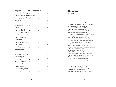Fragments of a Lost Gnostic Poem of

| the 12th Century $\ldots$ $\ldots$ $\ldots$ $\ldots$ 35 |  |  |  |
|---------------------------------------------------------|--|--|--|
| The Marcioness of Brinvilliers 36                       |  |  |  |
| The Age of the Antonines 37                             |  |  |  |
| Herba Santa 38                                          |  |  |  |

### Fruit of Travel Long Ago

| Venice                                                                                                                                                                                                                         |  |  |  |  | $\mathbb{R}^{\mathbb{Z}^2}$ | 40 |
|--------------------------------------------------------------------------------------------------------------------------------------------------------------------------------------------------------------------------------|--|--|--|--|-----------------------------|----|
| In a Bye Canal. $\qquad \qquad \ldots \qquad \qquad \ldots \qquad \ldots$                                                                                                                                                      |  |  |  |  | $\ddot{\phantom{a}}$        | 41 |
| Pisa's Leaning Tower                                                                                                                                                                                                           |  |  |  |  | $\ddot{\phantom{0}}$        | 43 |
| In a Church of Padua (b) contains the contact of the contact of the contact of the contact of the contact of the contact of the contact of the contact of the contact of the contact of the contact of the contact of the cont |  |  |  |  | $\ddot{\phantom{0}}$        | 44 |
| Milan Cathedral                                                                                                                                                                                                                |  |  |  |  | $\ddot{\phantom{0}}$        | 45 |
| Pausilippo                                                                                                                                                                                                                     |  |  |  |  | L.                          | 46 |
| The Attic Landscape                                                                                                                                                                                                            |  |  |  |  | Į,                          | 49 |
| The Same $\ldots$ $\ldots$ $\ldots$ $\ldots$ $\ldots$                                                                                                                                                                          |  |  |  |  | L.                          | 50 |
| The Parthenon                                                                                                                                                                                                                  |  |  |  |  | $\ddot{\phantom{0}}$        | 51 |
| Greek Masonry                                                                                                                                                                                                                  |  |  |  |  | L,                          | 53 |
| Greek Architecture                                                                                                                                                                                                             |  |  |  |  | L.                          | 54 |
| Off Cape Colonna                                                                                                                                                                                                               |  |  |  |  | L.                          | 55 |
| The Archipelago                                                                                                                                                                                                                |  |  |  |  | L.                          | 56 |
| Syra                                                                                                                                                                                                                           |  |  |  |  | $\ddot{\phantom{0}}$        | 57 |
| Disinterment of the Hermes                                                                                                                                                                                                     |  |  |  |  | $\ddot{\phantom{a}}$        | 59 |
| The Appartion                                                                                                                                                                                                                  |  |  |  |  | $\ddot{\phantom{0}}$        | 60 |
| In the Desert. $\cdot \cdot \cdot \cdot \cdot \cdot \cdot$                                                                                                                                                                     |  |  |  |  | $\ddot{\phantom{0}}$        | 61 |
| The Great Pyramid                                                                                                                                                                                                              |  |  |  |  | $\ddot{\phantom{0}}$        | 62 |
| L'Envoi. 64                                                                                                                                                                                                                    |  |  |  |  |                             |    |
|                                                                                                                                                                                                                                |  |  |  |  |                             |    |

## **Timoleon** (394 B.C.)

#### I

If more than once, as annals tell, Through blood without compunction spilt, An egotist arch rule has snatched And stamped the seizure with his sabre's hilt, And, legalized by lawyers, stood; Shall the good heart whose patriot fire Leaps to a deed of startling note, Do it, then flinch? Shall good in weak expire? Needs goodness lack the evil grit That stares down censorship and ban, And dumfounds saintlier ones with this— God's will avouched in each successful man? Or, put it, where dread stress inspires A virtue beyond man's standard rate, Seems virtue there a strain forbid— Transcendence such as shares transgression's fate? If so, and wan eclipse ensue, Yet glory await emergence won, Is that high Providence, or Chance? And proved it which with thee, Timoleon? O, crowned with laurel twined with thorn, Not rash thy life's cross-tide I stem, But reck the problem rolled in pang And reach and dare to touch thy garment's hem.

#### II

 When Argos and Cleone strove Against free Corinth's claim or right, Two brothers battled for her well: A footman one, and one a mounted knight.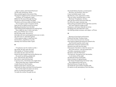Apart in place, each braved the brunt Till the rash cavalryman, alone, Was wrecked against the enemy's files, His bayard crippled and he maimed and thrown. Timoleon, at Timophanes' need, Makes for the rescue through the fray, Covers him with his shield, and takes The darts and furious odds and fights at bay; Till, wrought to palor of passion dumb, Stark terrors of death around he throws, Warding his brother from the field Spite failing friends dispersed and rallying foes. Here might he rest, in claim rest here, Rest, and a Phidian form remain; But life halts never, life must on, And take with term prolongated some scar or stain. Yes, life must on. And latent germs Time's seasons wake in mead and man; And brothers, playfellows in youth, Develop into variance wide in span.

#### III

 Timophanes was his mother's pride— Her pride, her pet, even all to her Who slackly on Timoleon looked: her pride, her pet, even all to her Scarce he (she mused) may proud affection stir. He saved my darling, gossips tell: If so, 'twas service, yea, and fair; But instinct ruled and duty bad, In service such, a henchmen e'en might share. When boys they were I helped the bent; I made the junior feel his place, Subserve the senior, love him, too; And sooth he does, and that's his saving grace. But me the meek one never can serve, Not he, he lacks the quality keen To make the mother through the son

An envied dame of power, a social queen But thou, my first-born, thou art I In sex translated; joyed, I scan My features, mine, expressed in thee; Thou art what I would be were I a man. My brave Timophanes, 'tis thou Who yet the world's fore-front shalt win, For thine the urgent resolute way, Self pushing panoplied self through thick and thin. Nor here maternal insight erred: Foresworn, with heart that did not wince At slaying men who kept their vows, Her darling strides to power, and reigns—a Prince.

#### IV

 Because of just heart and humane, Profound the hate Timoleon knew For crimes of prime and men-of-prey And impious deeds that perjurous upstarts do; And Corinth loved he, and in way Old Scotia's clansman loved his clan, Devotion one with ties how dear And passion that late to make the rescue ran. But crime and kin—the terrorized town, The silent, acquiescent mother— Revulsion racks the filial heart, The loyal son, the patriot true, the brother. In evil visions of the night He sees the lictors of the gods Giant ministers of righteousness, Their fasces threatened by the Furies' rods, But undeterred he wills to act, Resolved thereon though Ate rise; He heeds the voice whose mandate calls, Or seems to call, peremptory, from the skies.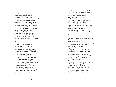V

 Nor less but by approaches mild, And trying each prudential art, The just one first advances him In parley with a flushed intemperate heart.

 The brother first he seeks—alone, And pleads; but is with laughter met; Then comes he, in accord with two, And these adjure the tyrant and beset;

 Whose merriment gives place to rage: "Go," stamping, "what to me is Right? I am the Wrong, and lo, I reign, And testily intolerant too in might:"

 And glooms on his mute brother pale, Who goes aside; with muffled face He sobs the predetermined word, And Right in Corinth reassumes its place.

#### VI

 But on his robe, ah, whose the blood? And craven ones their eyes avert, And heavy is a mother's ban, And dismal faces of the fools can hurt. The whispering-gallery of the world, Where each breathed slur runs wheeling wide Eddies a false perverted truth, Inveterate turning still on fratricide. The time was Plato's. Wandering lights Confirmed the atheist's standing star; As now, no sanction Virtue knew For deeds that on prescriptive morals jar. Reaction took misgiving's tone, Infecting conscinence, till betrayed To doubt the irrevocable doom Herself had authorized when undismayed.

 Within perturbed Timoleon here Such deeps were bared as when the sea

Convulsed, vacates its shoreward bed, And Nature's last reserves show neakedly. He falters, and from Hades' glens By night insidious tones implore— Why suffer? hither come and be What Phocion is who feeleth man no more. But, won from that, his mood elects To live—to live in wilding place; For years self-outcast, he but meets In shades his playfellow's reproachful face. Estranged through one transcendent deed From common membership in mart, In severance he is like a head Pale after battle trunkless found apart.

#### VII

 But flood-tide comes though long the ebb, Nor patience bides with passion long; Like sightless orbs his thought are rolled Arraigning heaven as compromised in wrong: To second causes why appeal? Vain parleying here with fellow clods. To you, Arch Principals, I rear My quarrel, for this quarrel is with gods. Shall just me long to quit your world? It is aspersion of your reign; Your marbles in the temple stand— Yourselves as stony and invoked in vain? Ah, bear with one quite overborne, Olympians, if he chide ye now; Magnanimous be even though he rail And hard against ye set the bleaching brow. If conscience doubt, she'll next recant. What basis then/ O, tell at last, Are earnest natures staggering here But fatherless shadows from no substance cast? Yea, are ye, gods? Then ye, 'tis ye Should show what touch to tie ye may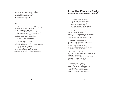Since ye, too, if not wrung are wronged By grievous misconceptions of your sway, But deign, some little sign be given— Low thunder in your tranquil skies; Me reassure, nor let me be Like a lone dog that for a master cries.

#### VIII

 Men's moods, as frames, must yield to years, And turns the world in fickle ways; Corinth recalls Timoleon—ay, And plumes him forth, but yet with schooling phrase. On Sicily's fields, through arduous wars, A peace he won whose rainbow spanned The isle redeemed; and he was hailed Deliverer of that fair colonial land. And Corinth clapt: Absolved, and more! Justice in long arrears is thine: Not slayer of thy brother, no, But savior of the state, Jove's soldier, man divine. Eager for thee thy City waits: Return! with bays we dress your door. But he, the Isle's loved guest, reposed, And never for Corinth left the adopted shore

## After the Pleasure Party

Lines traced under an image of Amor Threatening

 Fear me, virgin whosoever Taking pride from love exempt, Fear me, slighted. Never, never Brave me, nor my fury tempt: Downy wings, but wroth they beat Tempest even in reason's seat.

Behind the house the upland falls With many an odorous tree— White marbles gleaming through green halls, Terrace by terrace, down and down. And meets the starlit Mediterranean Sea.

 'Tis Paradise. In such an hour Some pangs that rend might take release. Nor less perturbed who keeps this bower Of balm, nor finds balsamic peace? From whom the passionate words in vent After long revery's discontent?

 Tired of the homeless deep, Look how their flight yon hurrying billows urge, Hitherward but to reap Passive repulse from the iron-bound verge! Insensate, can they never know 'Tis mad to wreck the impulsion so?

 An art of memory is, they tell: But to forget! forget the glade Wherein Fate sprung Love's abuscade, To flout pale years of cloistral life And flush me in this sensuous strife 'Tis Vesta struck with Sappho's smart.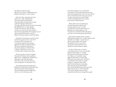No fable her delirious leap: With more of cause in desparate heart, Myself could take it-but to sleep!

 Now first I feel, what all may ween, That soon or late, if faded e'en, One's sex asserts itself. Desire, The dear desire through love to sway, Is like the Geysers that aspire-Through cold obstruction win their fervid way. But baffled here — to take disdain, To feel rule's instinct, yet not reign; To dote, to come to this drear shame-Hence the winged blaze that sweeps my soul Like prairie fires that spurn control, Where withering weeds incense the flame.

 And kept I long heaven's watch for this, Contemning love, for this, even this? O terrace chill in Northern air, O reaching ranging tube I placed Against yon skies, and fable chased Till, fool, I hailed for sister there Starred Cassiopea in Golden Chair. In dream I throned me, nor I saw In cell the idiot crowned with straw.

 And yet, ah yet scarse ill I reigned, Through self-illustion self-sustained, When now-enlightened, undeceived-What gain I barrenly bereaved! That this can be yet lower decline-Envy and spleen, can these be mine?

 The peasant girl demure that trod Beside our wheels that climbed the way, And bore along a blossoming rod That looked the sceptre of May-day-On her-to fire this pretty hell,

His softened glance how moistly fell! The cheat! on briars her buds were strung; And wiles peeped forth from mien how meek. The innocent bare-foot! young, so young! To girls, strong man's a novice weak. To tell such beads! And more remain, Sad rosary of belittling pain.

 When after lunch and sallies gay, Like the Decameron folk we lay In sylvan groups; and I-let be! O, dreams he, can he dream that one Because not roseate feels no sun? The plain lone bramble thrills with Spring As much as vines that grapes shall bring.

 Me now fair studies charm no more. Shall great thoughts writ, or high themes sung Damask wan cheeks-unlock his arm About some radiant ninny flung? How glad wih all my starry lore, I'd buy the veriest wanton's rose Would but my bee therein repose.

 Could I remake me! or set free This sexless bound in sex, then plunge Deeper than Sappho, in a lunge Piercing Pan's paramound mystery! For, Nature, in no shallow surge Against thee either sex may urge, Why hast thou made us but in halves-Co-relatives? This makes us slaves. If these co-relatives never meet Self-hood itself seems incomplete. And such the dicing of blind fate Few matching halves here meet and mate. What Cosmic jest or Anarch blunder The human integral clove asunder And shief the fractions through life's gate?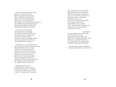Ye stars that long your votary knew Rapt in her vigil, see me here! Whither is gone the spell ye hrew When rose before me Cassiopea? Usurped by love's stronger reign-But lo, your very selves do wane: Light breaks — truth breaks! Silvered no more, But chilled by dawn that brings the gale Shivers yon bramble above the vale, And disillustion opens all the shore.

 One knows not if Urania yet The pleasure-party may foget; Or whether she lived down the strain Of turbulent heart and rebel brain; For Amor so resents a slight, And hers had been such haught disdain, He long may wreak his boyish spite, And boy-like little reck the pain.

 One knows not, no. But late in Rome (For queens discrowned a congruous home) Entering Albani's porch she stood Fixed by an antique pagan stone Colossal carved. No anchorite seer, Not Thomas a Kempis, monk austere, Religious more are in their tone; Yet far, how far from Christian heart That form august of heathen Art. Swayed by its influence, long she stood, Till surged emotion seething down, She rallied and this mood she won:

 Languid in frame for me, To-day by Mary's convent shrine, Touched by her picture's moving plea In that poor nerveless hour of mine, I mused — A wanderer still must grieve

Half I resolved to kneel and believe, Believe and submit, the veil take on. But thee, armed Virgin! less benign, Thee now I invoke, thou mightier one. Helmeted woman-if such term Befit thee, far from strie Of that which makes the sexual feud And clogs the aspirant life-O self-reliant, strong and free, Thou in whom power and peace unite, Transcender! raise me up to thee, Raise me and arm me!

#### Fond appeal.

For never passion peace shall bring, Nor Art inanimate for long Inspire. Nothing may help or heal While Amor incensed remembers wrong Vindictive, not himself he'll spare; For scope to give his vengeance play Himself he'll blaspheme and betray.

 Then for Urania, virgins everywhere O pray! Example take too, and have care.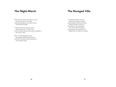# The Night-March

With banners furled, and clarions mute, An army passes in the night; And beaming spears and helms salute The dark with bright.

In silence deep the legions stream, With open ranks, in order true; Over boundless plains they stream and gleam— No chief in view!

Afar, in twinkling distance lost, (So legends tell) he lonely wends And back through all that shining host His mandate sends.

# The Ravaged Villa

In shards the sylvan vases lie, Their links of dance undone, And brambles wither by thy brim, Choke fountain of the sun! The spider in the laurel spins, The weed exiles the flower: And, flung to kiln, Apollo's bust Makes lime for Mammon's tower.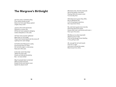# The Margrave's Birthnight

Up from many a sheeted valley, From white woods as well, Down too from each fleecy upland Jingles many a bell

Jovial on the work-sad horses Hitched to runners old Of the toil-worn peasants sledging Under sheepskins in the cold;

Till from every quarter gathered Meet they on one ledge, There from hoods they brush the snow off Lighting from each sledge

Full before the Margrave's castle, Summoned there to cheer On his birth-night, in mid-winter, Kept year after year.

O the hall, and O the holly! Tables line each wall; Guests as holly-berries plenty, But-no host withal!

May his people feast contented While at head of board Empty throne and vacant cover Speak the absent lord?

Minstrels enter. And the stewards Serve the guests; and when Passing there the vacant cover Functionally then

Old observance grave they offer; But no Margrave fair, In his living aspect gracious, Sits responsive there;

No, and never guest once marvels, None the good lord name, Scarse they mark void throne and cover-Dust upon the same.

Mindless as to what importeth Absence such in hall; Tacit as the plough-horse feeding In the palfrey's stall.

Ah, enough for toil and travail, If but for a night Into wine is turned the water, Black bread into white.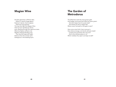## Magian Wine

Amulets gemmed, to Miriam dear, Adown in liquid mirage gleam; Solomon's Syrian charms appear, Opal and ring supreme. The rays that light this Magian Wine Thrill up from semblances divine. And, seething through the rapturous wave, What low Elysian anthems rise: Sibylline inklings blending rave, Then lap the verge with sighs. Delirious here the oracles swim Ambiguous in the beading hymn.

# The Garden of **Metrodorus**

The Athenians mark the moss-grown gate And hedge untrimmed that hides the haven green: And who keeps here his quiet state? And shares he sad or happy fate Where never foot-path to the gate is seen?

Here none come forth, here none go in, Here silence strange, and dumb seclusion dwell: Content from loneness who may win? And is this stillness peace or sin Which noteless thus apart can keep its dell?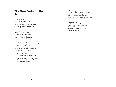# The New Zealot to the Sun

 Persian, you rise Aflame from climes of sacrifice Where adulators sue, And prostrate man, with brow abased, Adheres to rites whose tenor traced All worship hitherto.

 Arch type of sway, Meetly your over-ruling ray You fling from Asia's plain, Whence flashed the javelins abroad Of many a wild incursive horde Led by some shepherd Cain.

 Mid terrors dinned Gods too came conquerors from your Ind, The brood of Brahma throve; They came like to the scythed car, Westward they rolled their empire far, Of night their purple wove.

 Chemist, you breed In orient climes each sorcerous weed That energizes dream— Transmitted, spread in myths and creeds, Houris and hells, delirious screeds And Calvin's last extreme.

 What though your life In time's first dawn compelled the flight Of Chaos' startled clan, Shall never all your darted spears Disperse worse Anarchs, frauds and fears, Sprung from these weeds to man?

But Science yet An effluence ampler shall beget, And power beyond your play— Shall quell the shades you fail to rout, Yea, searching every secret out Elucidate your ray.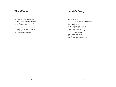## The Weaver

For years within a mud-built room For Arva's shrine he weaves the shawl, Lone wight, and at a lonely loom, His busy shadow on the wall.

The face is pinced, the form is bent, No pastime knows he nor the wine, Recluse he lives and abstinent Who weaves for Arva's shrine.

# Lamia's Song

Descent, descend! Pleasant the downward way— From your lonely Alp With the wintry scalp To our myrtles in valleys of May. Wend then, wend: Mountaineer, descend! And more than a wreath shall repay. Come, ah come! With the cataracts come, That hymn as they roam How pleasant the downward way!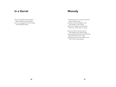# In a Garret

Gems and jewels let them heap— Wax sumptuous as the Sophi: For me, to grapple from Art's deep One dripping trophy!

# Monody

To have known him, to have loved him After loneness long; And then to be estranged in life, And neither in the wrong; And now for death to set his seal— Ease me, a little ease, my song!

By wintry hills his hermit-mound The sheeted snow-drifts drape, And houseless there the snow-bird flits Beneath the fir-trees' crape: Glazed now with ice the cloistral vine That hid the shyest grape.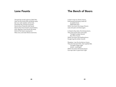## Lone Founts

Though fast youth's glorious fable flies, View not the world with worlding's eyes; Nor turn with weather of the time. Foreclose the coming of surprise: Stand where Posterity shall stand; Stand where the Ancients stood before, And, dipping in lone founts thy hand, Drink of the never-varying lore: Wise once, and wise thence evermore.

## The Bench of Boors

In bed I muse on Tenier's boors, Embrowned and beery losels all: A wakeful brain Elaborates pain: Within low doors the slugs of boors Laze and yawn and doze again.

In dreams they doze, the drowsy boors, Their hazy hovel warm and small: Thought's ampler bound But chill is found: Within low doors the basking boors Snugly hug the ember-mound.

Sleepless, I see the slumberour boors Their blurred eyes blink, their eyelids falls: Thought's eager sight Aches—overbright! Within low doors the boozy boors Cat-naps take in pipe-bown light.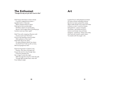# The Enthusiast

"Though He slay me yet will I trust in Him"

Shall hearts that beat no base retreat In youth's magnanimous years— Ignoble hold it, if discreet When interest tames to fears; Shall spirits that worship light Perfidious deem its sacred glow, Recant, and trudge where wordlings go, Conform and own them right?

Shall Time with creeping influence cold Unnerve and cow? the heart Pine for the heartless ones enrolled With palterers of the mart? Shall faith abjure her skies, Or pale probation blench her down To shrink from Truth so still, so lone, Mid loud gregarious lies?

Each burning boat in Caesar's rear, Flames—No return through me! So put the torch to ties though dear, If ties but tempters be. Nor cringe if come the night: Walk through the cloud to meet the pall, Though light forsake thee, never fall From fealty to light.

# Art

In placid hours well-pleased we dream Of many a brave unbodied scheme. But form to lend, pulsed life create, What unlike things must meet and mate: A flame to melt—a wind to freeze; Sad patience—joyous energies; Humilities—yet pride and scorn; Instinct and study; love and hate; Audacity—reverence. These must mate, And fuse with Jacob's mystic heart, To wrestle with the angel—Art.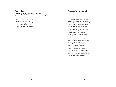## Buddha

"For what is your life? It is even a vapor that appeareth for a little time and then vanisheth away."

Swooning swim to less and less, Aspirant to nothingness! Sobs of the worlds, and dole of kinds That dumb endurers be— Nirvana! absorb us in your skies, Annul us into thee.

## C——'s Lament

 How lovely was the light of heaven, What angels leaned from out the sky In years when youth was more than wine And man and nature seemed divine Ere yet I felt that youth must die.

 Ere yet I felt that youth must die How insubstantial looked the earth, Alladin-land! in each advance, Or here or there, a new romance; I never dreamed would come a dearth.

 And nothing then but had its worth, Even pain. Yes pleasure still and pain In quick reaction made of life A lovers' quarrel, happy strife In youth that never comes again.

 But will youth never come again? Even to his grave-bed has he gone, And left me lone to wake by night With heavy heart that erst was light? O, lay it at his head—a stone!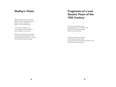# Shelley's Vision

Wandering late by morning seas When my heart with pain was low— Hate the censor pelted me— Deject I saw my shadow go.

In elf-caprice of bitter tone I too would pelt the pelted one: At my shadow I cast a stone.

When lo, upon that sun-lit ground I saw the quivering phantom take The likeness of St. Stephen crowned: Then did self-reverence awake.

# Fragments of a Lost Gnostic Poem of the 12th Century

\* \* \* \*

Found a family, build a state, The pledged event is still the same: Matter in end will never abate His ancient brutal claim.

\* \* \* \*

Indolence is heaven's ally here, And energy the child of hell: The Good Man pouring from his pitcher clear, But brims the poisoned well.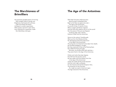# The Marchioness of **Brinvilliers**

He toned the sprightly beam of morning With twilight meek of tender eve, Brightness interfused with softness, Light and shade did weave: And gave to candor equal place With mystery starred in open skies; And, floating all in sweetness, made Her fathomless mild eyes.

# The Age of the Antonines

With faith forecasts millennial years Spite Europe's embattled lines, Back to the Past one glance be cast- The Age of the Antonines! O summit of fate, O zenith of time When a pagan gentleman reigned, And the olive was nailed to the inn of the world Nor the peace of the just was feigned. A halcyon Age, afar it shines, Solstice of Man and the Antonines.

Hymns to the nations' friendly gods Went up from the fellowly shrines, No demagogue beat the pulpit-drum In the Age of the Antonines! The sting was not dreamed to be taken from death, No Paradise pledged or sought, But they reasoned of fate at the flowing feast, Nor stifled the fluent thought. We sham, we shuffle while faith declines-They were frank in the Age of the Antonines.

Orders and ranks they kept degree, Few felt how the parvenu pines, No law-maker took the lawless one's fee In the Age of the Antonines! Under law made will the world reposed And the rule's right confessed, For the heavens elected the Emperor then, The foremost of men the best. Ah, might we read in America's signs

The Age restored of the Antonines.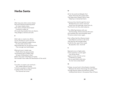## Herba Santa

#### I

After long wars when comes release Not olive wands proclaiming peace An import dearer share Than stems of Herba Santa hazed In autumn's Indian air. Of moods they breathe that care disarm, They pledge us lenitive and calm.

II

Shall code or creed a lure afford To win all selves to Love's accord? When Love ordained a supper divine For the wide world of man, What bickerings o'er his gracious wine! Then strange new feuds began.

Effectual more in lowlier way, Pacific Herb, thy sensuous plea The bristling clans of Adam sway At least to fellowship in thee! Before thine altar tribal flags are furled, Fain woulds't thou make one hearthstone of the world.

#### III

To scythe, to sceptre, pen and hod- Yea, sodden laborers dumb; To brains overplied, to feet that plod, In solace of the Truce of God The Calumet has come!

#### IV

Ah for the world ere Raleigh's find Never that knew this suasive balm That helps when Gilead's fails to heal, Helps by an interserted charm.

Insinuous thou that through the nerve Windest the soul, and so canst win Some from the repinings, some from sin, The Church's aim thou dost subserve.

The ruffled fag fordone with care And brooding, Gold would ease this pain: Him soothest thou and smoothest down Till some content return again.

Even ruffians feel thy influence breed Saint Martin's summer in teh mind, They feel this last evangel plead, As did the first, apart from creed, Be peaceful, man-be kind!

#### V

Rejected once on higher plain, O love supreme, to come again Can this be thine? Again to come, and win us too In likeness of a weed That as a god didst vainly woo, As man more vainly bleed?

#### VI

Forbear, my soul! and in thine Eastern chamber Rehearse the dream that brings the long release: Through jasmine sweet and talismanic amber Inhaling Herba Santa in the passive Pipe of Peace.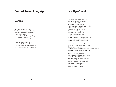# Fruit of Travel Long Ago

## Venice

With Pantheist energy or will The little craftsman of the Coral Sea Strenuous in his harvelous gallery And long arcade, Erections freaked with many a fringe Of marble garlandry, Evincing what a worm can do.

Laborious in a shallower wave, Advanced in kindred art, A prouder agent proved Pan's might When Venice rose in reefs of palaces.

# In a Bye-Canal

A swoon of noon, a trance of tide, The hushed siesta broodin wide Like calms far off Peru; No floating wayfarer in sight Dumb noon, and haunted like th enight When Jael the wiled one slew. A languid impulse from the oar Plied by my indolent gondolier Tinkles against a palace hoar, And, hark, response I hear! A lattice clicks; and lo, I see Between the slats, mute summoning me, What loveliest eyes of scintillation, What basilisk glance of conjuration!

 Fronted I have, part taken the span Of portents in nature and peril in man. I have swum-I have been Twixt the whale's black flukes and the white shark's fin; The enemy's desert have wandered in, And there have turned, have turned and scanned, Following me how noiselessly, Envy and Slander, lepers hand in hand, All this. But at the latticed eye-"Hey! Gondolier, you sleep, my man; Wake up!" And, shooting by, we ran; The while I mused, This, surely now, Confutes the Naturalists, allow! Sirens, true sirens verily be, Sirens, waylayers in the sea.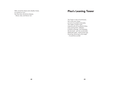Well, wooed by these same deadly misses, Is it shame to run? No! flee them did divine Ulysses, Brave, wise, and Venus' son.

# Pisa's Leaning Tower

The Tower in tiers of architraves, Fair circle over cirque, A trunk of rounderd colonades, The maker's master-work, Impends with all its pillared tribes, And, poising them, debates: It thinks to plunge-but hesitates; Shrinks back — yet fain would slide; Withholds itslef-itself would urge; Hovering, shivering on the verge, A would-be suicide!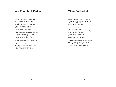## In a Church of Padua

In vaulted place where shadows flit, An upright sombre box you see: A door, but fast, and lattice none, But punctured holes minutely small In lateral silver panel square Above a kneeling-board without Suggest an aim if not declare.

 Who bendeth here the tremulous knee No glimpse may get of him within, And he immured may hardly see The soul confessing there the sin; Nor yields the low-sieved voice a tone Whereby the murmurer may be known.

 Dread diving-bell! In thee inurned What hollowes the priest must sound, Descending into consciences Where more is hid than found.

## Milan Cathedral

Through light green haze, a rolling sea Over gardens where redundance flows, The fat old plain of Lombardy, The White Cathedral shows.

 Of Art the miracles Its tribe of pinnacles Gleam like to ice-peaks snowed; and higher, Erect upon each airy spire In concourse without end, Statues of saints over saints ascend Like multitudinous forks of fire.

What motive was the master-builder's here? Why these synodic hierarchies given, Sublimely ranked in marble sessions clear, Except to signify the host of heaven.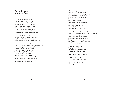## Pausilippo (In the time of Bomba)

A hill there is that laves its feet In Naples' bay and lifts its head In jovial season, curled with vines. Its name, in pristine years conferred By settling Greeks, imports that none Who take the prospect thence can pine, For such the charm of beauty shown Even sorrow's self they cheerful weened Surcease might find and thank good Pan.

 Toward that hill my landeau drew; And there, hard by the verge, was seen Two faces with such meaning fraught One scarse could mark and straight pass on.

 A man it was less hoar with time Than bleached through strange immurement long, Retaining still, by doom depressed, Dim trace of some aspiring prime. Seated he tuned a homely harp Watched by a girl, whose filial mien Toward one almost a child again, Took on a staid maternal tone. Nor might one question that the locks Which in smoothed natural silvery curls Fell on the bowed one's thread-bare coat Betrayed her ministering hand.

 Anon, among some ramblers drawn, A murmur rose "Tis Silvio, Silvio!" With inklings more in tone suppressed Touching his story, part recalled: Clandestine arrest abrupt by night; The sole conjecturable cause The yearning in a patriot ode Construed as treason; trial none; Prolonged captivity profound; Vain liberation late. All this, With pity for impoverishment And blight forestalling age's wane.

 Hillward the quelled enthusiast turned, Unmanned, made meek through strenuous wrong, Precluding, faltering; then began, But only thrilled the wire-no more, The constant maid supplying voice, Hinting by no ineloquent sign That she was but his mouth-piece mere, Himself too spiritless and spent.

 Pausilippo, Pausilippo, Pledging easement unto pain, Shall your beauty even solace If one's sense of beauty wane?

Could light airs that round ye play Waft heart-heaviness away Or memory lull to sleep, Then, then indeed your balm Might Silvio becharm, And life in fount would leap, Pausilippo!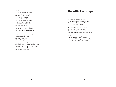Did not your spell invite, In moods that slip between, A dream of years serene, And wake, to dash, delight- Evoking here in vision Fulfillment and fruition-Nor mine, nor meant for man! Did hope not frequent share The mirage when despair Overtakes the caravan Me then your scene might move To break from sorrow's snare, And apt your name would prove, Pausilippo!

But I've looked upon your revel- It unravels not the pain: Pausilippo, Pausilippo, Named benignly if in vain!

 It ceased. In low and languid tone The tideless ripple lapped the passive shore; As listlessly the bland untroubled heaven Looked down as silved doled was silent given In pity-futile as the ore!

# The Attic Landscape

Tourist, spare the avid glance That greedy roves the sight to see: Little here of "Old Romance," Or Picturesque of Tivoli.

No flushful tint the sense to warm-Pure outline pale, a linear charm. The clear-cut hills carved temples face, Respond, and share their sculptural grace.

'Tis Art and Nature lodged together, Sister by sister, cheek to cheek; Such Art, such Nature, and such weather The All-in-All seems here a Greek.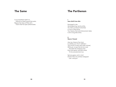## The Same

A circumambient spell it is, Pellucid on these scenes that waits, Repose that does of Plato tell-Charm that his style authenticates.

# The Parthenon

#### I Seen Aloft from Afar

Estranged in site, Aerial gleaming, warmly white, You look a suncloud motionless In noon of day divine; Your beauty charmed enhancement takes In Art's long after-shine.

#### II Nearer Viewed

Like Lais, fairest of her kind, In subtlety your form's defined — The cornice curved, each shaft inclined, While yet, to eyes that do but revel And take the sweeping view, Erect this seems, and that a level, To line and plummet true.

Spinoza gazes; and in mind Dreams that one architect designed Lais-and you!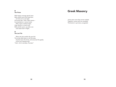#### III The Frieze

With happy musings genial went With airiest touch the chisel lent To frisk and curvet light Of horses gay-their riders grave-Contrasting so in action brave With virgins meekly bright, Clear filing on in even tone With pitcher each, one after one Like water-fowl in flight.

### IV The Last Tile

 When the last marble tile was laid The winds died down on all the seas; Hushed were the birds, and swooned the glade; Ictinus sat; Aspasia said "Hist!-Art's meridian, Pericles!"

# Greek Masonry

Joints were none that mortar sealed: Together, scarse with line revealed, The blocks in symmetry congealed.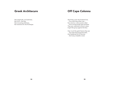# Greek Architecure

Not magnitude, not lavishness, But Form — the Site; Not innovating wilfulness, But reverence for the Archetype.

# Off Cape Colonna

Aloof they crown the foreland lone, From aloft they loftier rise-Fair columns, in the aureola rolled From sunned Greek seas and skies. They wax, sublimed to fancy's views, A god-like group against the blue.

Over much like gods! Serene they saw The wolf-waves board the deck, And headlong hull of Falconer, And many a deadlier wreck.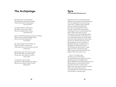## The Archipelago

Sail before the morning breeze The Sporads through and Cyclades They look like isles of absentees-Gone whither?

You bless Apollo's cheering ray, But Delos, his own isle, today Not e'en a Selkirk there to pray God friend me!

Scarce lone these groups, scarse lone and bare When Theseus roved a Raleight there, Each isle a small Virginia fair-Unravished.

Nor less through havoc fell they rue, They still retain in outline true Their grace of form when earth was new And primal.

But beauty clear, the frame's as wey, Never shall make one quite forget Thy picture, Pan, therein once set-Life's revel!

'Tis Polynesis reft of palms, Seaward no valley breathes her balms-Not such as musk thy rings of calms, Marquesas!

Syra (A Transmitted Reminiscence.)

Fleeing from Scio's smouldering vines (Where when the sword its work had done The Turk applied the torch) the Greek Came here, a fugitive stript of goods, Here to an all but tenantless isle, Nor here in footing gained at first, Felt safe. Still from the turbaned foe Dreading the doom of shipwrecked men Whom feline seas permit to land Then pounce upon and drag them back, For height they made, and prudent won A cone-shaped fastness on whose flanks With pains they pitched their eyrie camp, Stone huts, whereto they wary clung; But reassured in end, come down — Multiplied through compatriots now, Refugees like themselves forlorn — And building along the water's verge Begin to thrive; and thriving more When Greece at last flung off the Turk, Make of the haven mere a mart.

I saw it in its earlier day-Primitive, such an isled resort As hearthless Homer might have known Wandering about the Ægean here. Sheds ribbed with wreck-stuff faced the sea Where goods in transit shelter found; And here and there a shanty-shop Where Fez-caps, swords, tobacco, shawls Pistols, and orient fienry, Eve's-(The spangles dimmed by hands profane) Like plunder on a pirate's deck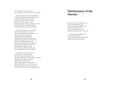Lay orderless in such loose way As to suggest things ravished or gone astray.

 Above a tented inn with fluttering flag A sunburnt board announced Greek wine In self-same text Anacreon knew, Dispense by one named "Pericles." Got up as for the opera's scene, Armed strangers, various, lounged or lazed, Lithe fellows tall, with gold-shot eyes. Sunning themselves as leopards may.

 Off-shore lay xebecs trim and light, And some but dubious in repute. But on the strand, for docks were none, What busy bees! no testy fry; Frolickers, picturesquely odd, With bales and oil-jars lading boats, Lighters that served an anchored craft, Each in his tassled Phrygian cap, Blue Eastern drawers and braided vest; And some with features cleanly cut As Proserpine's upon the coin. Such chatterers all! like children gat Who make believe to work, but play.

 I saw, and how help musing too. Here traffic's immature as yet: Forever this juvenile fun hold out And these light hearts? Their garb, their glee, Alike profuse in flowing measure, Alike inapt for serious work, Blab of grandfather Saturn's prime When trade was not, nor toil, nor stress, But life was leisure, merriment, peace, And lucre none and love was righteousness.

# Disinterment of the Hermes

What forms divine in adamant fair-Carven demigod and god, And hero-marbles rivalling these, Bide under Latium's sod, Or lost in sediment and drift Alluvial which the Grecian rivers sift.

 To dig for these, O better far Than raking arid sands For gold more barren meetly theirs Sterile, with brimming hands.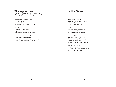# The Apparition

(The Parthenon Uplifted on Its Rock First Challenging the View on the Approach to Athens)

Abrupt the supernatural Croos, Vivid in startled air, Smote the Emperor Constantine And turned his soul's allegiance there.

With other power appealing down, Trophy of Adam's best! If cynic minds you scarce convert, You try them, shake them, or molest.

Diogenes, that honest heart, Lived ere your date began; Thee had he seen, he might have swerved In mood nor barked so much at Man.

## In the Desert

Never Pharoah's Night, Whereof the Hebrew wizards croon, Did so the Theban flamens try As me this veritable Noon.

Like blank ocean in blue calm Undulates the ethereal frame; In one flowing oriflammer God flings his fiery standard out.

Battling with the Emirs fierce Napoleon a great victory won, Through and through his sword did pierce; But, bayonetted by this sun His gunners drop beneath the dun.

Holy, holy, holy Light! Immaterial incandescence, Of God the effleunce of the essence, Shekinah intolerably bright!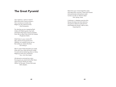## The Great Pyramid

Your masonry-and is it man's? More like some Cosmic artisan's. Your courses as in strata rise, Beget you do a blind surmise. Like Grampians.

Far slanting up your sweeping flank Arabs with Alpine goats may rank, And there they find a choice of passes Even like to dwarf that climb the masses Of glaciers blank.

Shall lichen in your crevice fit? Nay, sterile all and granite-knit: Weather nor weather-strain ye rue, But aridly you cleave the blue As lording it.

Morn's vapor floats beneath your peak, Kites skim your side with pinion weak; To sand-storms battering, blow on blow, Raging to work your overthrow, You-turn the cheek.

All elements unmoved you stem, Foursquare you stand and suffer them: Time's future infinite you dare, While, for the past, 'tis you that wear Eld's diadem.

Slant from your inmost lead the caves And labyrinths rumored. These who braves And penetrates (old palmers said) Comes out afar on deserts dead And, dying, raves.

Craftsmen, in dateless quarries dim, Stones formless into form did trim, Usurped on Nature's self with Art, And baded this dumb I AM to start, Imposing him.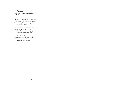## L'Envoi The Return of the Sire de Nesle. A.D. 16—

My towers at last! These rovings end, Their thirst is slaked in larger dearth: The yearning infinite recoils, For terrible is earth.

Kaf thrusts his snouted crags through fog: Araxes wells beyond his span, And knowledge poured by pilgrimage Overflows the banks of man.

But though, my stay, thy lasting love One lonely good, let this but be! Weary to view the wide world's swarm, But blest to fold but thee.